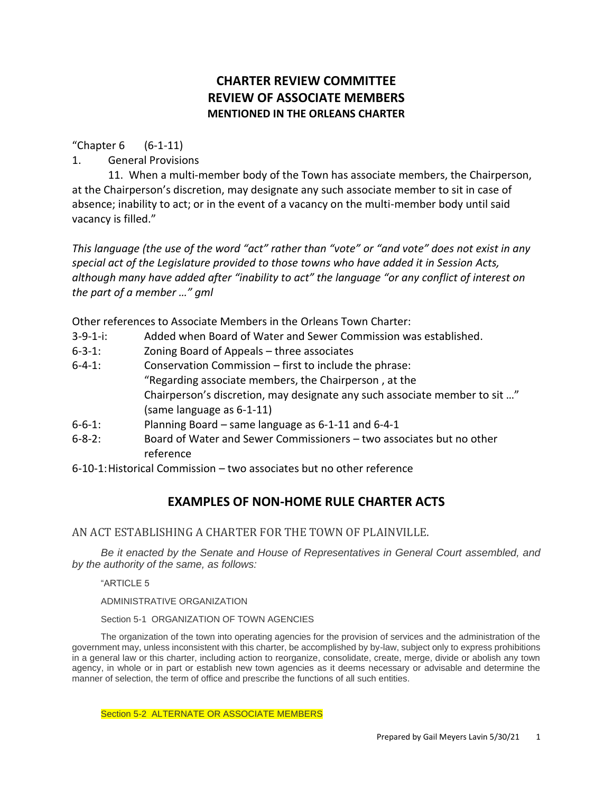# **CHARTER REVIEW COMMITTEE REVIEW OF ASSOCIATE MEMBERS MENTIONED IN THE ORLEANS CHARTER**

"Chapter 6 (6-1-11)

1. General Provisions

11. When a multi-member body of the Town has associate members, the Chairperson, at the Chairperson's discretion, may designate any such associate member to sit in case of absence; inability to act; or in the event of a vacancy on the multi-member body until said vacancy is filled."

*This language (the use of the word "act" rather than "vote" or "and vote" does not exist in any special act of the Legislature provided to those towns who have added it in Session Acts, although many have added after "inability to act" the language "or any conflict of interest on the part of a member …" gml*

Other references to Associate Members in the Orleans Town Charter:

- 3-9-1-i: Added when Board of Water and Sewer Commission was established.
- 6-3-1: Zoning Board of Appeals three associates
- 6-4-1: Conservation Commission first to include the phrase: "Regarding associate members, the Chairperson , at the Chairperson's discretion, may designate any such associate member to sit …" (same language as 6-1-11)
- 6-6-1: Planning Board same language as 6-1-11 and 6-4-1
- 6-8-2: Board of Water and Sewer Commissioners two associates but no other reference
- 6-10-1:Historical Commission two associates but no other reference

## **EXAMPLES OF NON-HOME RULE CHARTER ACTS**

AN ACT ESTABLISHING A CHARTER FOR THE TOWN OF PLAINVILLE.

*Be it enacted by the Senate and House of Representatives in General Court assembled, and by the authority of the same, as follows:*

"ARTICLE 5

ADMINISTRATIVE ORGANIZATION

Section 5-1 ORGANIZATION OF TOWN AGENCIES

The organization of the town into operating agencies for the provision of services and the administration of the government may, unless inconsistent with this charter, be accomplished by by-law, subject only to express prohibitions in a general law or this charter, including action to reorganize, consolidate, create, merge, divide or abolish any town agency, in whole or in part or establish new town agencies as it deems necessary or advisable and determine the manner of selection, the term of office and prescribe the functions of all such entities.

Section 5-2 ALTERNATE OR ASSOCIATE MEMBERS